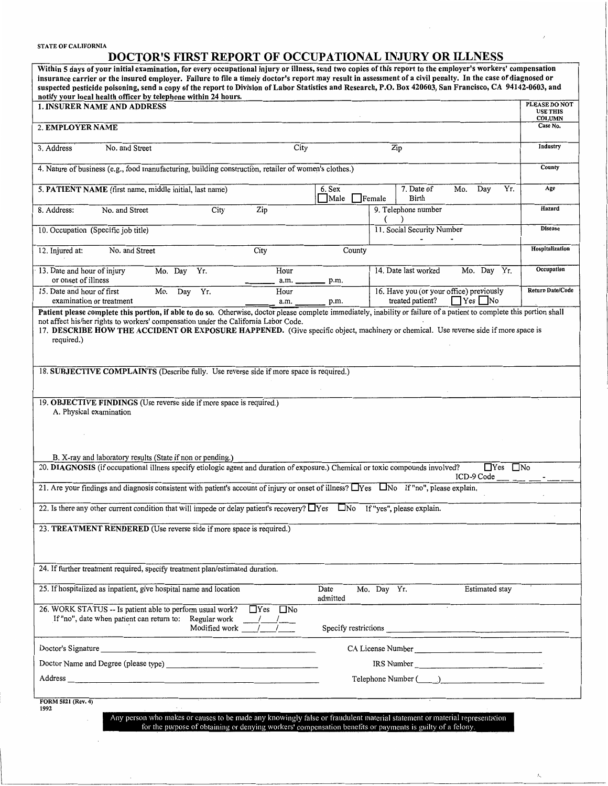## STATE OF CALIFORNIA

## **DOCTOR'S FIRST REPORT OF OCCUPATIONAL INJURY OR ILLNESS**

| Within 5 days of your initial examination, for every occupational injury or illness, send two copies of this report to the employer's workers' compensation<br>insurance carrier or the insured employer. Failure to file a timely doctor's report may result in assessment of a civil penalty. In the case of diagnosed or<br>suspected pesticide poisoning, send a copy of the report to Division of Labor Statistics and Research, P.O. Box 420603, San Francisco, CA 94142-0603, and<br>notify your local health officer by telephone within 24 hours. |                                                                                                           |                                                   |
|------------------------------------------------------------------------------------------------------------------------------------------------------------------------------------------------------------------------------------------------------------------------------------------------------------------------------------------------------------------------------------------------------------------------------------------------------------------------------------------------------------------------------------------------------------|-----------------------------------------------------------------------------------------------------------|---------------------------------------------------|
| <b>1. INSURER NAME AND ADDRESS</b>                                                                                                                                                                                                                                                                                                                                                                                                                                                                                                                         |                                                                                                           | PLEASE DO NOT<br><b>USE THIS</b><br><b>COLUMN</b> |
| 2. EMPLOYER NAME                                                                                                                                                                                                                                                                                                                                                                                                                                                                                                                                           |                                                                                                           | Case No.                                          |
| City<br>3. Address<br>No. and Street                                                                                                                                                                                                                                                                                                                                                                                                                                                                                                                       | Zip                                                                                                       | Industry                                          |
| 4. Nature of business (e.g., food manufacturing, building construction, retailer of women's clothes.)                                                                                                                                                                                                                                                                                                                                                                                                                                                      |                                                                                                           |                                                   |
| 5. PATIENT NAME (first name, middle initial, last name)                                                                                                                                                                                                                                                                                                                                                                                                                                                                                                    | Yr.<br>7. Date of<br>Mo.<br>Day<br>6. Sex<br>Female<br>Birth<br>Male                                      | Age                                               |
| Zip<br>No. and Street<br>City<br>8. Address:                                                                                                                                                                                                                                                                                                                                                                                                                                                                                                               | 9. Telephone number<br>€                                                                                  | Hazard                                            |
| 10. Occupation (Specific job title)                                                                                                                                                                                                                                                                                                                                                                                                                                                                                                                        | 11. Social Security Number                                                                                | <b>Disease</b>                                    |
| No. and Street<br>City<br>12. Injured at:                                                                                                                                                                                                                                                                                                                                                                                                                                                                                                                  | County                                                                                                    | Hospitalization                                   |
| Hour<br>Mo. Day Yr.<br>13. Date and hour of injury<br>or onset of illness<br>a.m. _                                                                                                                                                                                                                                                                                                                                                                                                                                                                        | 14. Date last worked<br>Mo. Day<br>Yr.<br>p.m.                                                            | <b>Occupation</b>                                 |
| 15. Date and hour of first<br>Mo.<br>Hour<br>Day<br>Yr.<br>examination or treatment<br>a.m.                                                                                                                                                                                                                                                                                                                                                                                                                                                                | 16. Have you (or your office) previously<br>treated patient?<br>$\Box$ Yes $\Box$ No<br>p.m.              | <b>Return Date/Code</b>                           |
| Patient please complete this portion, if able to do so. Otherwise, doctor please complete immediately, inability or failure of a patient to complete this portion shall<br>not affect his/her rights to workers' compensation under the California Labor Code.<br>17. DESCRIBE HOW THE ACCIDENT OR EXPOSURE HAPPENED. (Give specific object, machinery or chemical. Use reverse side if more space is<br>required.)<br>18. SUBJECTIVE COMPLAINTS (Describe fully. Use reverse side if more space is required.)                                             |                                                                                                           |                                                   |
| 19. OBJECTIVE FINDINGS (Use reverse side if more space is required.)<br>A. Physical examination<br>B. X-ray and laboratory results (State if non or pending.)                                                                                                                                                                                                                                                                                                                                                                                              |                                                                                                           |                                                   |
| 20. DIAGNOSIS (if occupational illness specify etiologic agent and duration of exposure.) Chemical or toxic compounds involved?<br>$\Box$ Yes $\Box$ No<br>ICD-9 Code                                                                                                                                                                                                                                                                                                                                                                                      |                                                                                                           |                                                   |
| 21. Are your findings and diagnosis consistent with patient's account of injury or onset of illness? □Yes □No If "no", please explain.                                                                                                                                                                                                                                                                                                                                                                                                                     |                                                                                                           |                                                   |
| 22. Is there any other current condition that will impede or delay patient's recovery? □ Yes □ No If "yes", please explain.                                                                                                                                                                                                                                                                                                                                                                                                                                |                                                                                                           |                                                   |
| 23. TREATMENT RENDERED (Use reverse side if more space is required.)                                                                                                                                                                                                                                                                                                                                                                                                                                                                                       |                                                                                                           |                                                   |
| 24. If further treatment required, specify treatment plan/estimated duration.                                                                                                                                                                                                                                                                                                                                                                                                                                                                              |                                                                                                           |                                                   |
| 25. If hospitalized as inpatient, give hospital name and location                                                                                                                                                                                                                                                                                                                                                                                                                                                                                          | <b>Estimated</b> stay<br>Mo. Day Yr.<br>Date<br>admitted                                                  |                                                   |
| 26. WORK STATUS -- Is patient able to perform usual work?<br>$\Box$ Yes $\Box$ No<br>If "no", date when patient can return to: Regular work<br>$\frac{1}{\text{Regular work}}$ $\frac{1}{\text{Model} + \text{Model}}$                                                                                                                                                                                                                                                                                                                                     |                                                                                                           |                                                   |
| Doctor's Signature                                                                                                                                                                                                                                                                                                                                                                                                                                                                                                                                         | CA License Number                                                                                         |                                                   |
|                                                                                                                                                                                                                                                                                                                                                                                                                                                                                                                                                            | $IRS Number \_$                                                                                           |                                                   |
|                                                                                                                                                                                                                                                                                                                                                                                                                                                                                                                                                            | Telephone Number ( )                                                                                      |                                                   |
| FORM 5021 (Rev. 4)<br>1992<br>Any person who makes or causes to be made any knowingly false or fraudulent material statement or material representation                                                                                                                                                                                                                                                                                                                                                                                                    | for the purpose of obtaining or denying workers' compensation benefits or payments is guilty of a felony. |                                                   |

 $\overline{A}$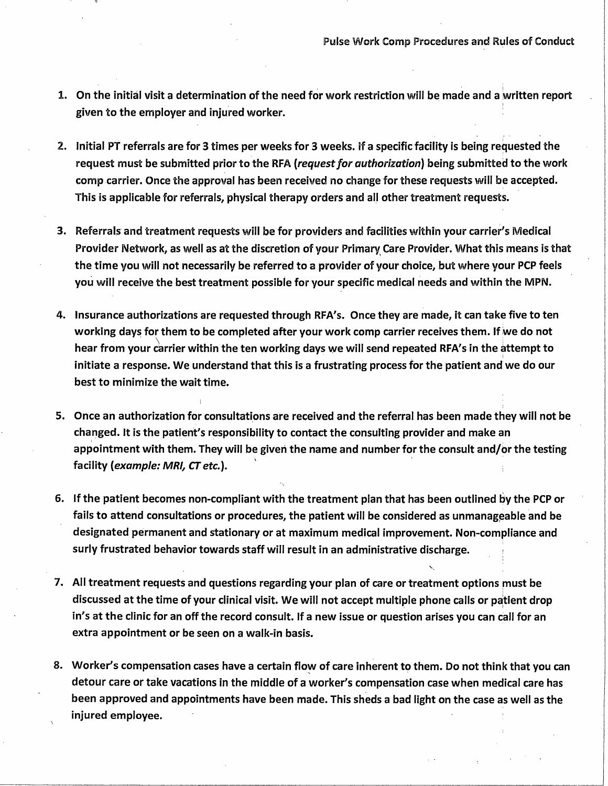- 1. On the initial visit a determination of the need for work restriction will be made and a written report given to the employer and injured worker. '
- 2. Initial PT referrals are for 3 times per weeks for 3 weeks. if a specific facility is being requested the request must be submitted prior to the RFA (request for authorization) being submitted to the work comp carrier. Once the approval has been received no change for these requests will be accepted. This is applicable for referrals, physical therapy orders and all other treatment requests.
- 3. Referrals and treatment requests will be for providers and facilities within your carrier's Medical Provider Network, as well as at the discretion of your Primary, Care Provider. What this means is that the time you will not necessarily be referred to a provider of your choice, but where your PCP feels you will receive the best treatment possible for your specific medical needs and within the MPN.
- 4. Insurance authorizations are requested through RFA's. Once they are made, it can take five to ten working days for them to be completed after your work comp carrier receives them. If we do not hear from your carrier within the ten working days we will send repeated RFA's in the attempt to initiate a response. We understand that this is a frustrating process for the patient and we do our best to minimize the wait time.
- 5. Once an authorization for consultations are received and the referral has been made they will not be changed. It is the patient's responsibility to contact the consulting provider and make an appointment with them. They will be given the name and number for the consult and/or the testing facility *(example:* **MRI,** *CT* etc.).
- 6. If the patient becomes non-compliant with the treatment plan that has been outlined by the PCP or fails to attend consultations or procedures, the patient will be considered as unmanageable and be designated permanent and stationary or at maximum medical improvement. Non-compliance and surly frustrated behavior towards staff will result in an administrative discharge.
- 7. All treatment requests and questions regarding your plan of care or treatment options must be discussed at the time of your clinical visit. We will not accept multiple phone calls or patient drop in's at the clinic for an off the record consult. If a new issue or question arises you can call for an extra appointment or be seen on a walk-in basis.
- 8. Worker's compensation cases have a certain flow of care inherent to them. Do not think that you can detour care or take vacations in the middle of a worker's compensation case when medical care has been approved and appointments have been made. This sheds a bad light on the case as well as the injured employee.